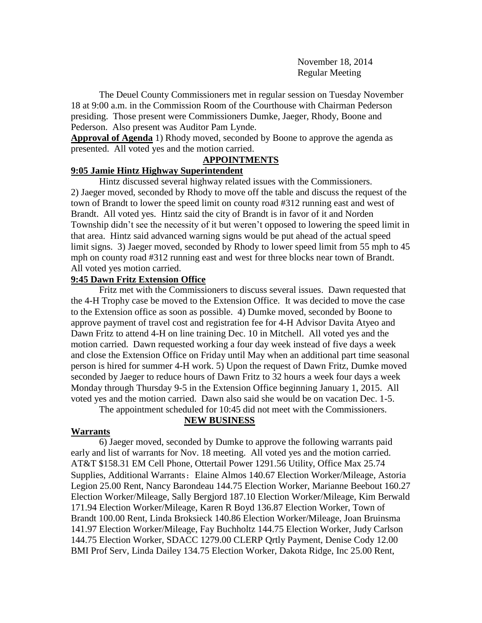November 18, 2014 Regular Meeting

The Deuel County Commissioners met in regular session on Tuesday November 18 at 9:00 a.m. in the Commission Room of the Courthouse with Chairman Pederson presiding. Those present were Commissioners Dumke, Jaeger, Rhody, Boone and Pederson. Also present was Auditor Pam Lynde.

**Approval of Agenda** 1) Rhody moved, seconded by Boone to approve the agenda as presented. All voted yes and the motion carried.

### **APPOINTMENTS**

# **9:05 Jamie Hintz Highway Superintendent**

Hintz discussed several highway related issues with the Commissioners. 2) Jaeger moved, seconded by Rhody to move off the table and discuss the request of the town of Brandt to lower the speed limit on county road #312 running east and west of Brandt. All voted yes. Hintz said the city of Brandt is in favor of it and Norden Township didn't see the necessity of it but weren't opposed to lowering the speed limit in that area. Hintz said advanced warning signs would be put ahead of the actual speed limit signs. 3) Jaeger moved, seconded by Rhody to lower speed limit from 55 mph to 45 mph on county road #312 running east and west for three blocks near town of Brandt. All voted yes motion carried.

### **9:45 Dawn Fritz Extension Office**

Fritz met with the Commissioners to discuss several issues. Dawn requested that the 4-H Trophy case be moved to the Extension Office. It was decided to move the case to the Extension office as soon as possible. 4) Dumke moved, seconded by Boone to approve payment of travel cost and registration fee for 4-H Advisor Davita Atyeo and Dawn Fritz to attend 4-H on line training Dec. 10 in Mitchell. All voted yes and the motion carried. Dawn requested working a four day week instead of five days a week and close the Extension Office on Friday until May when an additional part time seasonal person is hired for summer 4-H work. 5) Upon the request of Dawn Fritz, Dumke moved seconded by Jaeger to reduce hours of Dawn Fritz to 32 hours a week four days a week Monday through Thursday 9-5 in the Extension Office beginning January 1, 2015. All voted yes and the motion carried. Dawn also said she would be on vacation Dec. 1-5.

The appointment scheduled for 10:45 did not meet with the Commissioners.

#### **Warrants**

# **NEW BUSINESS**

6) Jaeger moved, seconded by Dumke to approve the following warrants paid early and list of warrants for Nov. 18 meeting. All voted yes and the motion carried. AT&T \$158.31 EM Cell Phone, Ottertail Power 1291.56 Utility, Office Max 25.74 Supplies, Additional Warrants: Elaine Almos 140.67 Election Worker/Mileage, Astoria Legion 25.00 Rent, Nancy Barondeau 144.75 Election Worker, Marianne Beebout 160.27 Election Worker/Mileage, Sally Bergjord 187.10 Election Worker/Mileage, Kim Berwald 171.94 Election Worker/Mileage, Karen R Boyd 136.87 Election Worker, Town of Brandt 100.00 Rent, Linda Broksieck 140.86 Election Worker/Mileage, Joan Bruinsma 141.97 Election Worker/Mileage, Fay Buchholtz 144.75 Election Worker, Judy Carlson 144.75 Election Worker, SDACC 1279.00 CLERP Qrtly Payment, Denise Cody 12.00 BMI Prof Serv, Linda Dailey 134.75 Election Worker, Dakota Ridge, Inc 25.00 Rent,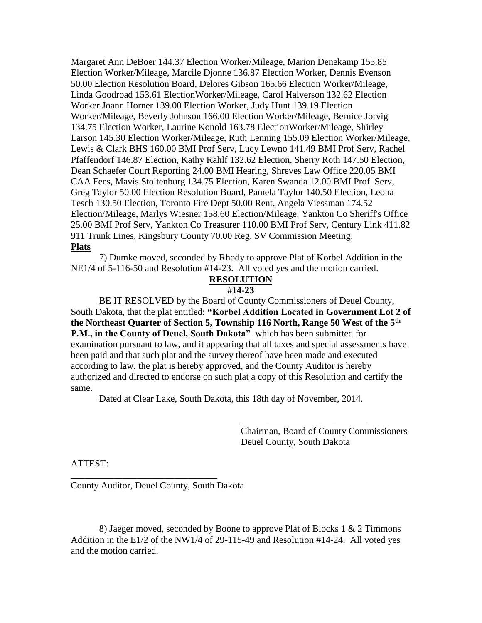Margaret Ann DeBoer 144.37 Election Worker/Mileage, Marion Denekamp 155.85 Election Worker/Mileage, Marcile Djonne 136.87 Election Worker, Dennis Evenson 50.00 Election Resolution Board, Delores Gibson 165.66 Election Worker/Mileage, Linda Goodroad 153.61 ElectionWorker/Mileage, Carol Halverson 132.62 Election Worker Joann Horner 139.00 Election Worker, Judy Hunt 139.19 Election Worker/Mileage, Beverly Johnson 166.00 Election Worker/Mileage, Bernice Jorvig 134.75 Election Worker, Laurine Konold 163.78 ElectionWorker/Mileage, Shirley Larson 145.30 Election Worker/Mileage, Ruth Lenning 155.09 Election Worker/Mileage, Lewis & Clark BHS 160.00 BMI Prof Serv, Lucy Lewno 141.49 BMI Prof Serv, Rachel Pfaffendorf 146.87 Election, Kathy Rahlf 132.62 Election, Sherry Roth 147.50 Election, Dean Schaefer Court Reporting 24.00 BMI Hearing, Shreves Law Office 220.05 BMI CAA Fees, Mavis Stoltenburg 134.75 Election, Karen Swanda 12.00 BMI Prof. Serv, Greg Taylor 50.00 Election Resolution Board, Pamela Taylor 140.50 Election, Leona Tesch 130.50 Election, Toronto Fire Dept 50.00 Rent, Angela Viessman 174.52 Election/Mileage, Marlys Wiesner 158.60 Election/Mileage, Yankton Co Sheriff's Office 25.00 BMI Prof Serv, Yankton Co Treasurer 110.00 BMI Prof Serv, Century Link 411.82 911 Trunk Lines, Kingsbury County 70.00 Reg. SV Commission Meeting. **Plats**

7) Dumke moved, seconded by Rhody to approve Plat of Korbel Addition in the NE1/4 of 5-116-50 and Resolution #14-23. All voted yes and the motion carried.

# **RESOLUTION**

### **#14-23**

BE IT RESOLVED by the Board of County Commissioners of Deuel County, South Dakota, that the plat entitled: **"Korbel Addition Located in Government Lot 2 of the Northeast Quarter of Section 5, Township 116 North, Range 50 West of the 5th P.M., in the County of Deuel, South Dakota**" which has been submitted for examination pursuant to law, and it appearing that all taxes and special assessments have been paid and that such plat and the survey thereof have been made and executed according to law, the plat is hereby approved, and the County Auditor is hereby authorized and directed to endorse on such plat a copy of this Resolution and certify the same.

Dated at Clear Lake, South Dakota, this 18th day of November, 2014.

Chairman, Board of County Commissioners Deuel County, South Dakota

\_\_\_\_\_\_\_\_\_\_\_\_\_\_\_\_\_\_\_\_\_\_\_\_\_\_\_

ATTEST:

County Auditor, Deuel County, South Dakota

\_\_\_\_\_\_\_\_\_\_\_\_\_\_\_\_\_\_\_\_\_\_\_\_\_\_\_\_\_\_\_

8) Jaeger moved, seconded by Boone to approve Plat of Blocks 1 & 2 Timmons Addition in the E1/2 of the NW1/4 of 29-115-49 and Resolution #14-24. All voted yes and the motion carried.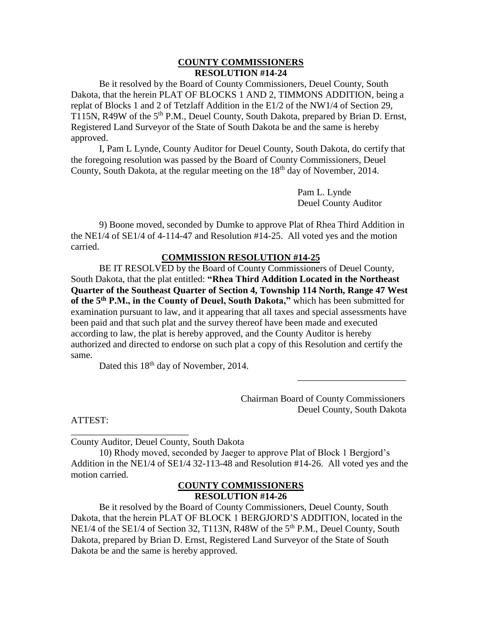### **COUNTY COMMISSIONERS RESOLUTION #14-24**

Be it resolved by the Board of County Commissioners, Deuel County, South Dakota, that the herein PLAT OF BLOCKS 1 AND 2, TIMMONS ADDITION, being a replat of Blocks 1 and 2 of Tetzlaff Addition in the E1/2 of the NW1/4 of Section 29, T115N, R49W of the 5<sup>th</sup> P.M., Deuel County, South Dakota, prepared by Brian D. Ernst, Registered Land Surveyor of the State of South Dakota be and the same is hereby approved.

I, Pam L Lynde, County Auditor for Deuel County, South Dakota, do certify that the foregoing resolution was passed by the Board of County Commissioners, Deuel County, South Dakota, at the regular meeting on the  $18<sup>th</sup>$  day of November, 2014.

> Pam L. Lynde Deuel County Auditor

9) Boone moved, seconded by Dumke to approve Plat of Rhea Third Addition in the NE1/4 of SE1/4 of 4-114-47 and Resolution #14-25. All voted yes and the motion carried.

#### **COMMISSION RESOLUTION #14-25**

BE IT RESOLVED by the Board of County Commissioners of Deuel County, South Dakota, that the plat entitled: **"Rhea Third Addition Located in the Northeast Quarter of the Southeast Quarter of Section 4, Township 114 North, Range 47 West of the 5th P.M., in the County of Deuel, South Dakota,"** which has been submitted for examination pursuant to law, and it appearing that all taxes and special assessments have been paid and that such plat and the survey thereof have been made and executed according to law, the plat is hereby approved, and the County Auditor is hereby authorized and directed to endorse on such plat a copy of this Resolution and certify the same.

Dated this  $18<sup>th</sup>$  day of November, 2014.

Chairman Board of County Commissioners Deuel County, South Dakota

\_\_\_\_\_\_\_\_\_\_\_\_\_\_\_\_\_\_\_\_\_\_\_

ATTEST:

County Auditor, Deuel County, South Dakota

\_\_\_\_\_\_\_\_\_\_\_\_\_\_\_\_\_\_\_\_\_\_\_\_\_

10) Rhody moved, seconded by Jaeger to approve Plat of Block 1 Bergjord's Addition in the NE1/4 of SE1/4 32-113-48 and Resolution #14-26. All voted yes and the motion carried.

# **COUNTY COMMISSIONERS RESOLUTION #14-26**

Be it resolved by the Board of County Commissioners, Deuel County, South Dakota, that the herein PLAT OF BLOCK 1 BERGJORD'S ADDITION, located in the NE1/4 of the SE1/4 of Section 32, T113N, R48W of the 5<sup>th</sup> P.M., Deuel County, South Dakota, prepared by Brian D. Ernst, Registered Land Surveyor of the State of South Dakota be and the same is hereby approved.